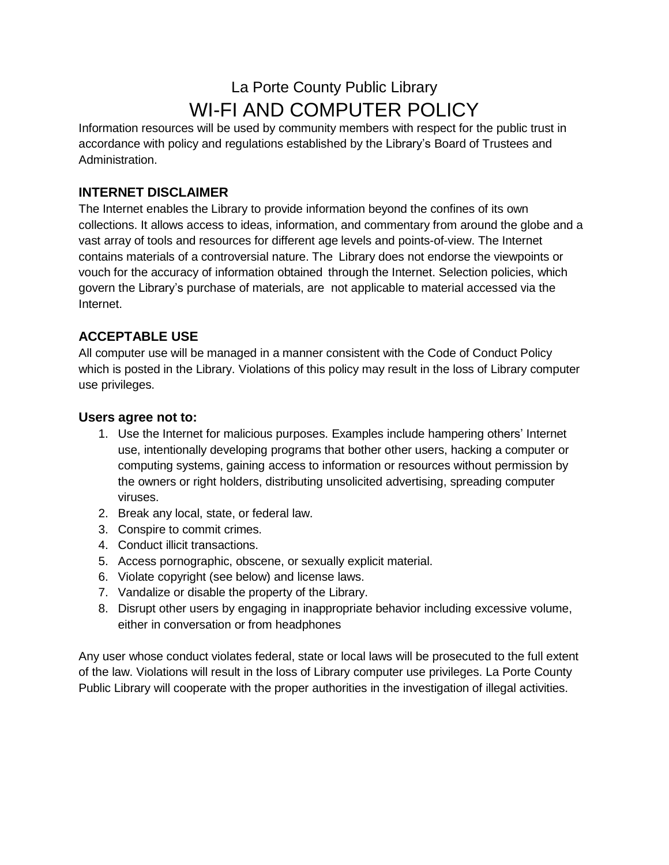# La Porte County Public Library WI-FI AND COMPUTER POLICY

Information resources will be used by community members with respect for the public trust in accordance with policy and regulations established by the Library's Board of Trustees and Administration.

## **INTERNET DISCLAIMER**

The Internet enables the Library to provide information beyond the confines of its own collections. It allows access to ideas, information, and commentary from around the globe and a vast array of tools and resources for different age levels and points-of-view. The Internet contains materials of a controversial nature. The Library does not endorse the viewpoints or vouch for the accuracy of information obtained through the Internet. Selection policies, which govern the Library's purchase of materials, are not applicable to material accessed via the Internet.

## **ACCEPTABLE USE**

All computer use will be managed in a manner consistent with the Code of Conduct Policy which is posted in the Library. Violations of this policy may result in the loss of Library computer use privileges.

#### **Users agree not to:**

- 1. Use the Internet for malicious purposes. Examples include hampering others' Internet use, intentionally developing programs that bother other users, hacking a computer or computing systems, gaining access to information or resources without permission by the owners or right holders, distributing unsolicited advertising, spreading computer viruses.
- 2. Break any local, state, or federal law.
- 3. Conspire to commit crimes.
- 4. Conduct illicit transactions.
- 5. Access pornographic, obscene, or sexually explicit material.
- 6. Violate copyright (see below) and license laws.
- 7. Vandalize or disable the property of the Library.
- 8. Disrupt other users by engaging in inappropriate behavior including excessive volume, either in conversation or from headphones

Any user whose conduct violates federal, state or local laws will be prosecuted to the full extent of the law. Violations will result in the loss of Library computer use privileges. La Porte County Public Library will cooperate with the proper authorities in the investigation of illegal activities.